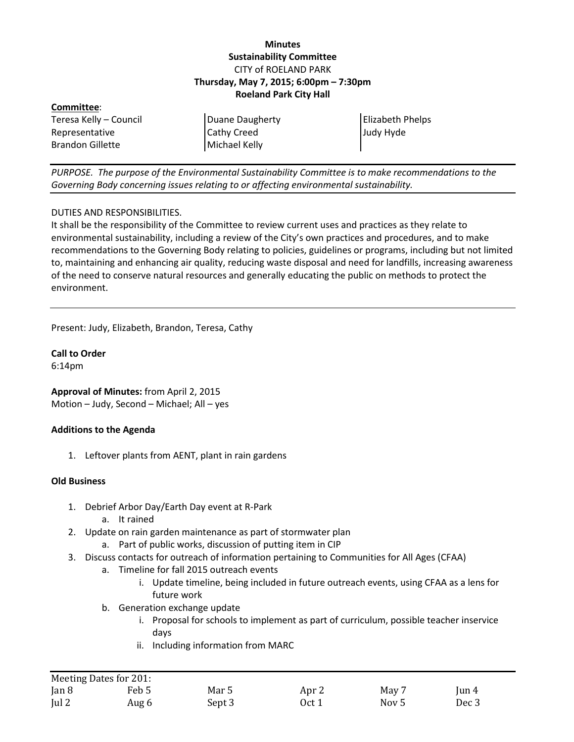### **Minutes Sustainability Committee** CITY of ROELAND PARK **Thursday, May 7, 2015; 6:00pm – 7:30pm Roeland Park City Hall**

| Committee:              |                    |                         |
|-------------------------|--------------------|-------------------------|
| Teresa Kelly – Council  | Duane Daugherty    | <b>Elizabeth Phelps</b> |
| Representative          | <b>Cathy Creed</b> | Judy Hyde               |
| <b>Brandon Gillette</b> | Michael Kelly      |                         |
|                         |                    |                         |

*PURPOSE. The purpose of the Environmental Sustainability Committee is to make recommendations to the Governing Body concerning issues relating to or affecting environmental sustainability.*

### DUTIES AND RESPONSIBILITIES.

It shall be the responsibility of the Committee to review current uses and practices as they relate to environmental sustainability, including a review of the City's own practices and procedures, and to make recommendations to the Governing Body relating to policies, guidelines or programs, including but not limited to, maintaining and enhancing air quality, reducing waste disposal and need for landfills, increasing awareness of the need to conserve natural resources and generally educating the public on methods to protect the environment.

Present: Judy, Elizabeth, Brandon, Teresa, Cathy

**Call to Order**

6:14pm

**Approval of Minutes:** from April 2, 2015 Motion – Judy, Second – Michael; All – yes

### **Additions to the Agenda**

1. Leftover plants from AENT, plant in rain gardens

#### **Old Business**

- 1. Debrief Arbor Day/Earth Day event at R-Park
	- a. It rained
- 2. Update on rain garden maintenance as part of stormwater plan
	- a. Part of public works, discussion of putting item in CIP
- 3. Discuss contacts for outreach of information pertaining to Communities for All Ages (CFAA)
	- a. Timeline for fall 2015 outreach events
		- i. Update timeline, being included in future outreach events, using CFAA as a lens for future work
	- b. Generation exchange update
		- i. Proposal for schools to implement as part of curriculum, possible teacher inservice days
		- ii. Including information from MARC

| Meeting Dates for 201: |       |        |                  |                  |                        |
|------------------------|-------|--------|------------------|------------------|------------------------|
| $\tan 8$               | Feb 5 | Mar 5  | Apr <sub>2</sub> | May 7            | $\operatorname{Iun} 4$ |
| $\lceil$ ul 2          | Aug 6 | Sept 3 | Oct 1            | Nov <sub>5</sub> | Dec 3                  |